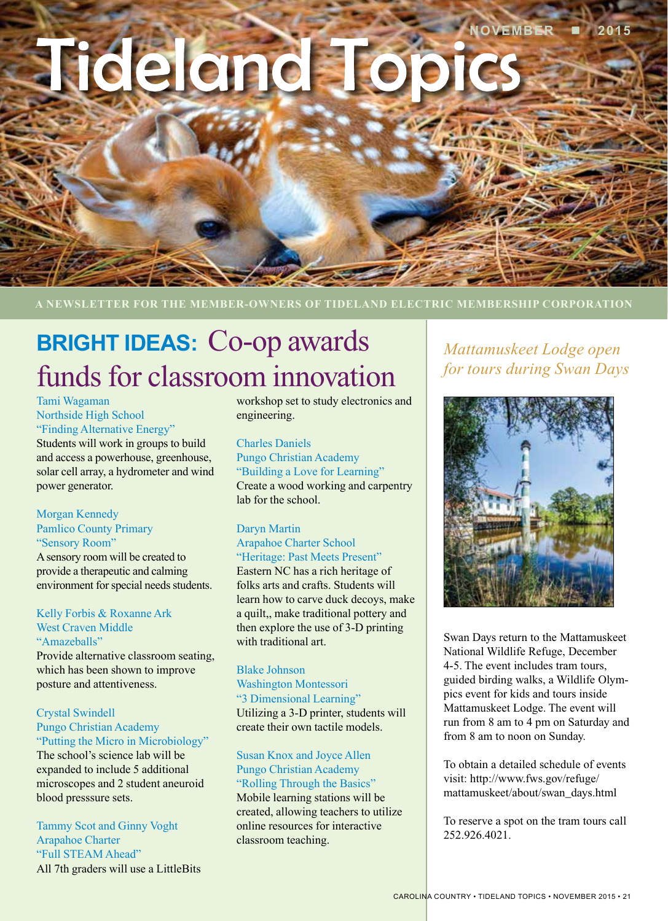# Tideland Topi

**A NEWSLETTER FOR THE MEMBER-OWNERS OF TIDELAND ELECTRIC MEMBERSHIP CORPORATION**

# **BRIGHT IDEAS:** Co-op awards funds for classroom innovation

Tami Wagaman Northside High School "Finding Alternative Energy"

Students will work in groups to build and access a powerhouse, greenhouse, solar cell array, a hydrometer and wind power generator.

#### Morgan Kennedy Pamlico County Primary "Sensory Room"

A sensory room will be created to provide a therapeutic and calming environment for special needs students.

#### Kelly Forbis & Roxanne Ark West Craven Middle "Amazeballs"

Provide alternative classroom seating, which has been shown to improve posture and attentiveness.

#### Crystal Swindell Pungo Christian Academy "Putting the Micro in Microbiology"

The school's science lab will be expanded to include 5 additional microscopes and 2 student aneuroid blood presssure sets.

Tammy Scot and Ginny Voght Arapahoe Charter "Full STEAM Ahead" All 7th graders will use a LittleBits workshop set to study electronics and engineering.

Charles Daniels Pungo Christian Academy "Building a Love for Learning" Create a wood working and carpentry lab for the school.

#### Daryn Martin

Arapahoe Charter School "Heritage: Past Meets Present"

Eastern NC has a rich heritage of folks arts and crafts. Students will learn how to carve duck decoys, make a quilt,, make traditional pottery and then explore the use of 3-D printing with traditional art.

#### Blake Johnson Washington Montessori "3 Dimensional Learning" Utilizing a 3-D printer, students will create their own tactile models.

## Susan Knox and Joyce Allen Pungo Christian Academy

"Rolling Through the Basics" Mobile learning stations will be created, allowing teachers to utilize online resources for interactive classroom teaching.

*Mattamuskeet Lodge open for tours during Swan Days*



Swan Days return to the Mattamuskeet National Wildlife Refuge, December 4-5. The event includes tram tours, guided birding walks, a Wildlife Olympics event for kids and tours inside Mattamuskeet Lodge. The event will run from 8 am to 4 pm on Saturday and from 8 am to noon on Sunday.

To obtain a detailed schedule of events visit: http://www.fws.gov/refuge/ mattamuskeet/about/swan\_days.html

To reserve a spot on the tram tours call 252.926.4021.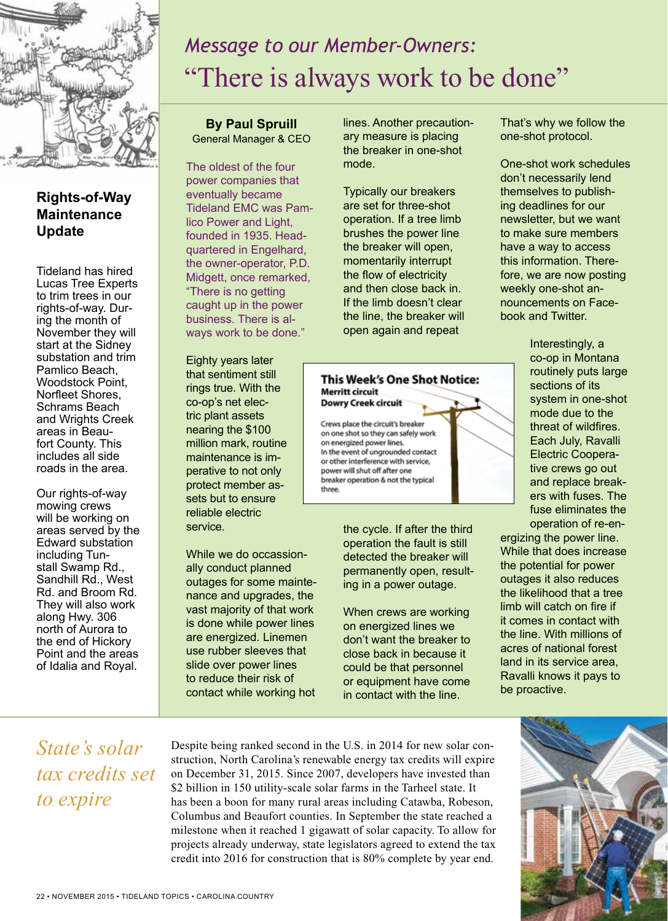

## **Rights-of-Way Maintenance Update**

Tideland has hired Lucas Tree Experts to trim trees in our rights-of-way. During the month of November they will start at the Sidney substation and trim Pamlico Beach, Woodstock Point, Norfleet Shores, Schrams Beach and Wrights Creek areas in Beaufort County. This includes all side roads in the area.

Our rights-of-way mowing crews will be working on areas served by the Edward substation including Tunstall Swamp Rd., Sandhill Rd., West Rd. and Broom Rd. They will also work along Hwy. 306 north of Aurora to the end of Hickory Point and the areas of Idalia and Royal.

# *Message to our Member-Owners:* "There is always work to be done"

**By Paul Spruill** General Manager & CEO

The oldest of the four power companies that eventually became Tideland EMC was Pamlico Power and Light, founded in 1935. Headquartered in Engelhard, the owner-operator, P.D. Midgett, once remarked, "There is no getting caught up in the power business. There is always work to be done."

Eighty years later that sentiment still rings true. With the co-op's net electric plant assets nearing the \$100 million mark, routine maintenance is imperative to not only protect member assets but to ensure reliable electric service.

While we do occassionally conduct planned outages for some maintenance and upgrades, the vast majority of that work is done while power lines are energized. Linemen use rubber sleeves that slide over power lines to reduce their risk of contact while working hot lines. Another precautionary measure is placing the breaker in one-shot mode.

Typically our breakers are set for three-shot operation. If a tree limb brushes the power line the breaker will open, momentarily interrupt the flow of electricity and then close back in. If the limb doesn't clear the line, the breaker will open again and repeat

#### **This Week's One Shot Notice:** Merritt circuit **Dowry Creek circuit**

Crews place the circuit's breaker on one shot so they can safely work on energized power lines. In the event of ungrounded contact or other interference with service, power will shut off after one breaker operation & not the typical three.

> the cycle. If after the third operation the fault is still detected the breaker will permanently open, resulting in a power outage.

When crews are working on energized lines we don't want the breaker to close back in because it could be that personnel or equipment have come in contact with the line.

That's why we follow the one-shot protocol.

One-shot work schedules don't necessarily lend themselves to publishing deadlines for our newsletter, but we want to make sure members have a way to access this information. Therefore, we are now posting weekly one-shot announcements on Facebook and Twitter.

> Interestingly, a co-op in Montana routinely puts large sections of its system in one-shot mode due to the threat of wildfires. Each July, Ravalli Electric Cooperative crews go out and replace breakers with fuses. The fuse eliminates the operation of re-en-

ergizing the power line. While that does increase the potential for power outages it also reduces the likelihood that a tree limb will catch on fire if it comes in contact with the line. With millions of acres of national forest land in its service area, Ravalli knows it pays to be proactive.

*State's solar tax credits set to expire*

Despite being ranked second in the U.S. in 2014 for new solar construction, North Carolina's renewable energy tax credits will expire on December 31, 2015. Since 2007, developers have invested than \$2 billion in 150 utility-scale solar farms in the Tarheel state. It has been a boon for many rural areas including Catawba, Robeson, Columbus and Beaufort counties. In September the state reached a milestone when it reached 1 gigawatt of solar capacity. To allow for projects already underway, state legislators agreed to extend the tax credit into 2016 for construction that is 80% complete by year end.

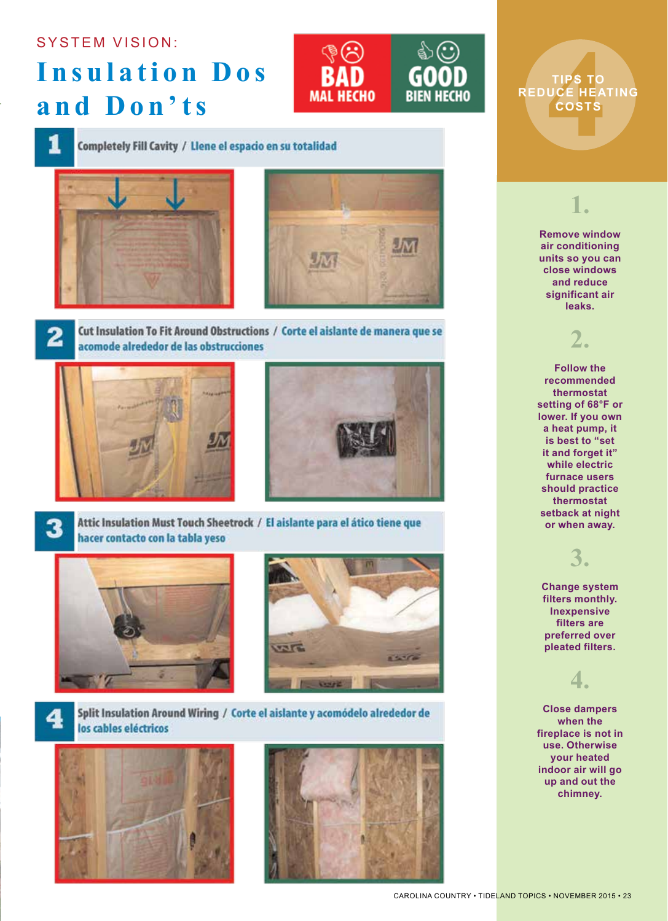### **SYSTEM VISION:**

# **Insulation Dos** and Don'ts



#### Completely Fill Cavity / Llene el espacio en su totalidad





2

3

Cut Insulation To Fit Around Obstructions / Corte el aislante de manera que se acomode alrededor de las obstrucciones





Attic Insulation Must Touch Sheetrock / El aislante para el ático tiene que hacer contacto con la tabla yeso





Split Insulation Around Wiring / Corte el aislante y acomódelo alrededor de los cables eléctricos





TIPS TO<br>UCE HEA<br>COSTS<br>A **TIPS TO REDUCE HEATING COSTS**



**significant air leaks.** 

**2.**

**Follow the recommended thermostat setting of 68°F or lower. If you own a heat pump, it is best to "set it and forget it" while electric furnace users should practice thermostat setback at night or when away.**

# **3.**

**Change system filters monthly. Inexpensive filters are preferred over pleated filters.**

## **4.**

**Close dampers when the fireplace is not in use. Otherwise your heated indoor air will go up and out the chimney.**